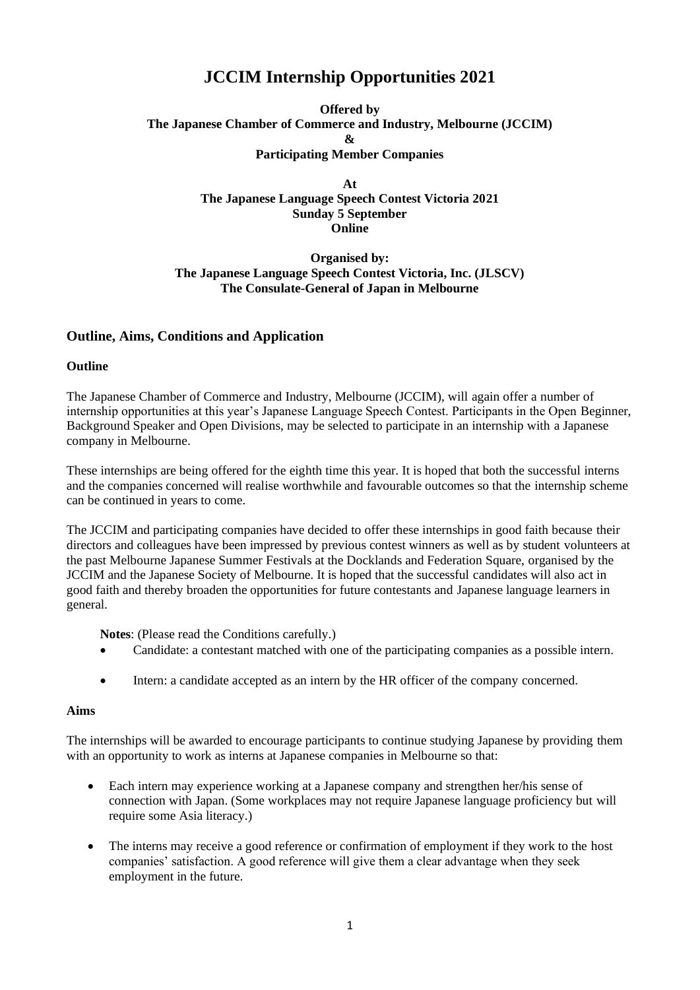# **JCCIM Internship Opportunities 2021**

**Offered by The Japanese Chamber of Commerce and Industry, Melbourne (JCCIM) & Participating Member Companies**

> **At The Japanese Language Speech Contest Victoria 2021 Sunday 5 September Online**

**Organised by: The Japanese Language Speech Contest Victoria, Inc. (JLSCV) The Consulate-General of Japan in Melbourne**

## **Outline, Aims, Conditions and Application**

**Outline**

The Japanese Chamber of Commerce and Industry, Melbourne (JCCIM), will again offer a number of internship opportunities at this year's Japanese Language Speech Contest. Participants in the Open Beginner, Background Speaker and Open Divisions, may be selected to participate in an internship with a Japanese company in Melbourne.

These internships are being offered for the eighth time this year. It is hoped that both the successful interns and the companies concerned will realise worthwhile and favourable outcomes so that the internship scheme can be continued in years to come.

The JCCIM and participating companies have decided to offer these internships in good faith because their directors and colleagues have been impressed by previous contest winners as well as by student volunteers at the past Melbourne Japanese Summer Festivals at the Docklands and Federation Square, organised by the JCCIM and the Japanese Society of Melbourne. It is hoped that the successful candidates will also act in good faith and thereby broaden the opportunities for future contestants and Japanese language learners in general.

**Notes**: (Please read the Conditions carefully.)

- Candidate: a contestant matched with one of the participating companies as a possible intern.
- Intern: a candidate accepted as an intern by the HR officer of the company concerned.

#### **Aims**

The internships will be awarded to encourage participants to continue studying Japanese by providing them with an opportunity to work as interns at Japanese companies in Melbourne so that:

- Each intern may experience working at a Japanese company and strengthen her/his sense of connection with Japan. (Some workplaces may not require Japanese language proficiency but will require some Asia literacy.)
- The interns may receive a good reference or confirmation of employment if they work to the host companies' satisfaction. A good reference will give them a clear advantage when they seek employment in the future.